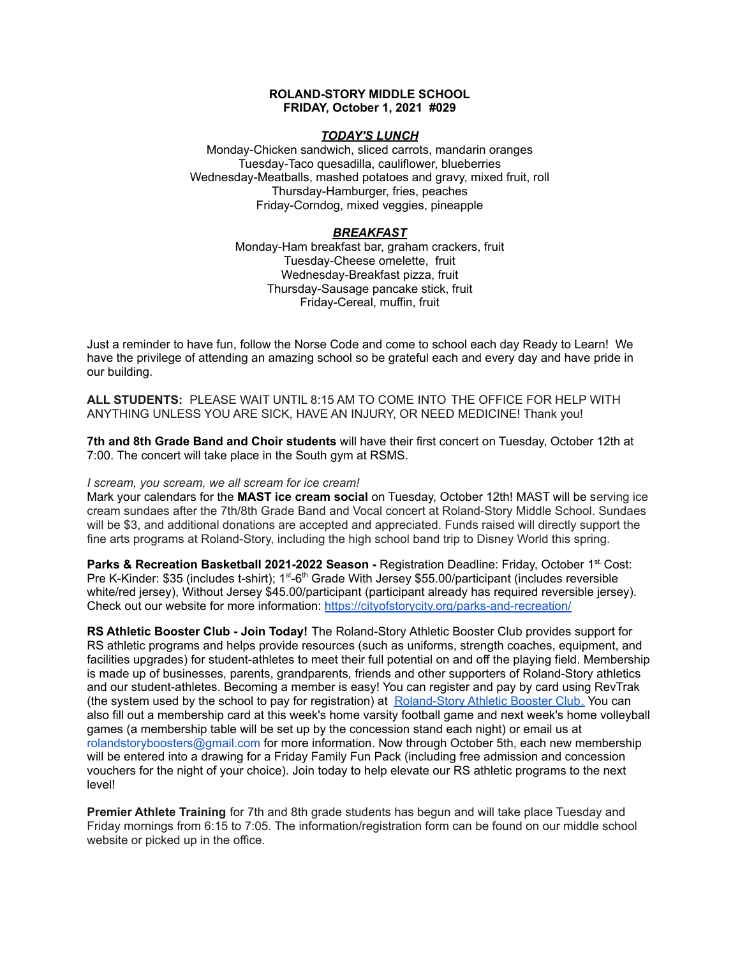## **ROLAND-STORY MIDDLE SCHOOL FRIDAY, October 1, 2021 #029**

## *TODAY'S LUNCH*

Monday-Chicken sandwich, sliced carrots, mandarin oranges Tuesday-Taco quesadilla, cauliflower, blueberries Wednesday-Meatballs, mashed potatoes and gravy, mixed fruit, roll Thursday-Hamburger, fries, peaches Friday-Corndog, mixed veggies, pineapple

## *BREAKFAST*

Monday-Ham breakfast bar, graham crackers, fruit Tuesday-Cheese omelette, fruit Wednesday-Breakfast pizza, fruit Thursday-Sausage pancake stick, fruit Friday-Cereal, muffin, fruit

Just a reminder to have fun, follow the Norse Code and come to school each day Ready to Learn! We have the privilege of attending an amazing school so be grateful each and every day and have pride in our building.

**ALL STUDENTS:** PLEASE WAIT UNTIL 8:15 AM TO COME INTO THE OFFICE FOR HELP WITH ANYTHING UNLESS YOU ARE SICK, HAVE AN INJURY, OR NEED MEDICINE! Thank you!

**7th and 8th Grade Band and Choir students** will have their first concert on Tuesday, October 12th at 7:00. The concert will take place in the South gym at RSMS.

#### *I scream, you scream, we all scream for ice cream!*

Mark your calendars for the **MAST ice cream social** on Tuesday, October 12th! MAST will be serving ice cream sundaes after the 7th/8th Grade Band and Vocal concert at Roland-Story Middle School. Sundaes will be \$3, and additional donations are accepted and appreciated. Funds raised will directly support the fine arts programs at Roland-Story, including the high school band trip to Disney World this spring.

**Parks & Recreation Basketball 2021-2022 Season -** Registration Deadline: Friday, October 1 st. Cost: Pre K-Kinder: \$35 (includes t-shirt); 1<sup>st</sup>-6<sup>th</sup> Grade With Jersey \$55.00/participant (includes reversible white/red jersey), Without Jersey \$45.00/participant (participant already has required reversible jersey). Check out our website for more information: <https://cityofstorycity.org/parks-and-recreation/>

**RS Athletic Booster Club - Join Today!** The Roland-Story Athletic Booster Club provides support for RS athletic programs and helps provide resources (such as uniforms, strength coaches, equipment, and facilities upgrades) for student-athletes to meet their full potential on and off the playing field. Membership is made up of businesses, parents, grandparents, friends and other supporters of Roland-Story athletics and our student-athletes. Becoming a member is easy! You can register and pay by card using RevTrak (the system used by the school to pay for registration) at [Roland-Story](https://rolandstory.revtrak.net/Roland-Story-Athletic-Booster-Club/) Athletic Booster Club. You can also fill out a membership card at this week's home varsity football game and next week's home volleyball games (a membership table will be set up by the concession stand each night) or email us at rolandstoryboosters@gmail.com for more information. Now through October 5th, each new membership will be entered into a drawing for a Friday Family Fun Pack (including free admission and concession vouchers for the night of your choice). Join today to help elevate our RS athletic programs to the next level!

**Premier Athlete Training** for 7th and 8th grade students has begun and will take place Tuesday and Friday mornings from 6:15 to 7:05. The information/registration form can be found on our middle school website or picked up in the office.